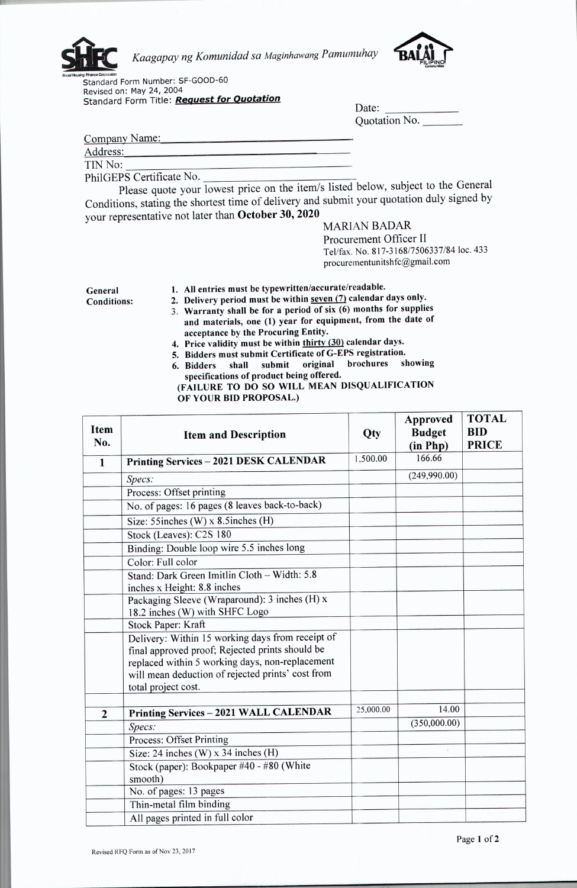

*Kaagapay ng Komunidad sa Maginhawang Pamumuhay*



Scala Housing France Corporation<br>Standard Form Number: SF-GOOD-60 Revised on: May 24, 2004 Standard Form Title: *Request for Quotation*

| Date:         |  |
|---------------|--|
| Quotation No. |  |

Company Name:

Address:

TIN No:

PhilGEPS Certificate No.<br>Please quote your lowest price on the item/s listed below, subject to the General Conditions, stating the shortest time of delivery and submit your quotation duly signed by your representative not later than October 30, 2020

## MARIAN BADAR

Procurement Officer II Tel/fax. No. 817-3168/7506337/84 loc. 433 procurementunitshfc@gmail.com

General Conditions:

## 1. All entries must be typewritten/accurate/readable.

2. Delivery period must be within seven (7) calendar days only.

- 3. Warranty shall be for a period of six  $(6)$  months for supplies and materials, one (1) year for equipment, from the date of acceptance by the Procuring Entity.
- 4. Price validity must be within thirty (30) calendar days.
- 5. Bidders must submit Certificate of G-EPS registration.
- 6. Bidders shall submit original brochures showing specifications of product being offered. (FAILURE TO DO SO WILL MEAN DISQUALIFICATION
	- OF YOUR BID PROPOSAL.)

| Item<br>No.    | <b>Item and Description</b>                                                                                                                                                                                                        | Qty       | Approved<br><b>Budget</b><br>(in Php) | <b>TOTAL</b><br><b>BID</b><br><b>PRICE</b> |
|----------------|------------------------------------------------------------------------------------------------------------------------------------------------------------------------------------------------------------------------------------|-----------|---------------------------------------|--------------------------------------------|
| $\mathbf{1}$   | Printing Services - 2021 DESK CALENDAR                                                                                                                                                                                             | 1,500.00  | 166.66                                |                                            |
|                | Specs:                                                                                                                                                                                                                             |           | (249,990.00)                          |                                            |
|                | Process: Offset printing                                                                                                                                                                                                           |           |                                       |                                            |
|                | No. of pages: 16 pages (8 leaves back-to-back)                                                                                                                                                                                     |           |                                       |                                            |
|                | Size: $55$ inches (W) x 8.5 inches (H)                                                                                                                                                                                             |           |                                       |                                            |
|                | Stock (Leaves): C2S 180                                                                                                                                                                                                            |           |                                       |                                            |
|                | Binding: Double loop wire 5.5 inches long                                                                                                                                                                                          |           |                                       |                                            |
|                | Color: Full color                                                                                                                                                                                                                  |           |                                       |                                            |
|                | Stand: Dark Green Imitlin Cloth - Width: 5.8<br>inches x Height: 8.8 inches                                                                                                                                                        |           |                                       |                                            |
|                | Packaging Sleeve (Wraparound): 3 inches (H) x<br>18.2 inches (W) with SHFC Logo                                                                                                                                                    |           |                                       |                                            |
|                | Stock Paper: Kraft                                                                                                                                                                                                                 |           |                                       |                                            |
|                | Delivery: Within 15 working days from receipt of<br>final approved proof; Rejected prints should be<br>replaced within 5 working days, non-replacement<br>will mean deduction of rejected prints' cost from<br>total project cost. |           |                                       |                                            |
|                |                                                                                                                                                                                                                                    |           |                                       |                                            |
| $\overline{2}$ | Printing Services - 2021 WALL CALENDAR                                                                                                                                                                                             | 25,000.00 | 14.00                                 |                                            |
|                | Specs:                                                                                                                                                                                                                             |           | (350,000.00)                          |                                            |
|                | Process: Offset Printing                                                                                                                                                                                                           |           |                                       |                                            |
|                | Size: 24 inches $(W)$ x 34 inches $(H)$                                                                                                                                                                                            |           |                                       |                                            |
|                | Stock (paper): Bookpaper #40 - #80 (White<br>smooth)                                                                                                                                                                               |           |                                       |                                            |
|                | No. of pages: 13 pages                                                                                                                                                                                                             |           |                                       |                                            |
|                | Thin-metal film binding                                                                                                                                                                                                            |           |                                       |                                            |
|                | All pages printed in full color                                                                                                                                                                                                    |           |                                       |                                            |